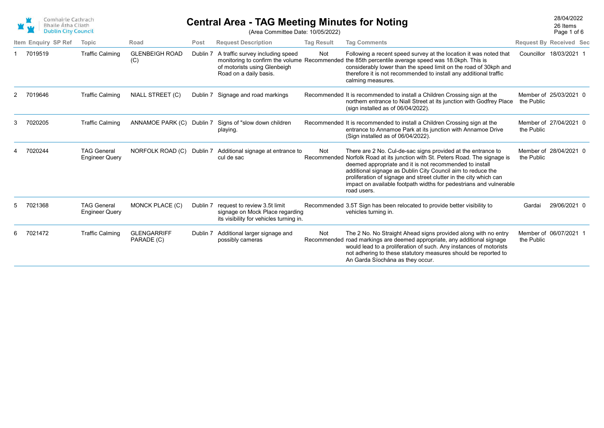

## **Central Area - TAG Meeting Minutes for Noting CENSISY 28/04/2022** 28/04/2022 (Area Committee Date: 10/05/2022)

Page 1 of 6 26 Items

|                     |                                             |                                  |          | $(71)$ ca Odinimitio Dato. To/00/2022)                                                                     |                   |                                                                                                                                                                                                                                                                                                                                                                                                                                   | 1 ayu 1 ul u                         |
|---------------------|---------------------------------------------|----------------------------------|----------|------------------------------------------------------------------------------------------------------------|-------------------|-----------------------------------------------------------------------------------------------------------------------------------------------------------------------------------------------------------------------------------------------------------------------------------------------------------------------------------------------------------------------------------------------------------------------------------|--------------------------------------|
| Item Enquiry SP Ref | Topic                                       | Road                             | Post     | <b>Request Description</b>                                                                                 | <b>Tag Result</b> | <b>Tag Comments</b>                                                                                                                                                                                                                                                                                                                                                                                                               | <b>Request By Received Sec</b>       |
| 7019519             | <b>Traffic Calming</b>                      | <b>GLENBEIGH ROAD</b><br>(C)     | Dublin 7 | A traffic survey including speed<br>of motorists using Glenbeigh<br>Road on a daily basis.                 | Not               | Following a recent speed survey at the location it was noted that<br>monitoring to confirm the volume Recommended the 85th percentile average speed was 18.0kph. This is<br>considerably lower than the speed limit on the road of 30kph and<br>therefore it is not recommended to install any additional traffic<br>calming measures.                                                                                            | Councillor 18/03/2021 1              |
| 7019646             | <b>Traffic Calming</b>                      | <b>NIALL STREET (C)</b>          |          | Dublin 7 Signage and road markings                                                                         |                   | Recommended It is recommended to install a Children Crossing sign at the<br>northern entrance to Niall Street at its junction with Godfrey Place<br>(sign installed as of 06/04/2022).                                                                                                                                                                                                                                            | Member of 25/03/2021 0<br>the Public |
| 7020205             | <b>Traffic Calming</b>                      | ANNAMOE PARK (C)                 | Dublin 7 | Signs of "slow down children<br>playing.                                                                   |                   | Recommended It is recommended to install a Children Crossing sign at the<br>entrance to Annamoe Park at its junction with Annamoe Drive<br>(Sign installed as of 06/04/2022).                                                                                                                                                                                                                                                     | Member of 27/04/2021 0<br>the Public |
| 7020244             | <b>TAG General</b><br><b>Engineer Query</b> | NORFOLK ROAD (C) Dublin 7        |          | Additional signage at entrance to<br>cul de sac                                                            | <b>Not</b>        | There are 2 No. Cul-de-sac signs provided at the entrance to<br>Recommended Norfolk Road at its junction with St. Peters Road. The signage is<br>deemed appropriate and it is not recommended to install<br>additional signage as Dublin City Council aim to reduce the<br>proliferation of signage and street clutter in the city which can<br>impact on available footpath widths for pedestrians and vulnerable<br>road users. | Member of 28/04/2021 0<br>the Public |
| 7021368             | <b>TAG General</b><br><b>Engineer Query</b> | MONCK PLACE (C)                  | Dublin 7 | request to review 3.5t limit<br>signage on Mock Place regarding<br>its visibility for vehicles turning in. |                   | Recommended 3.5T Sign has been relocated to provide better visibility to<br>vehicles turning in.                                                                                                                                                                                                                                                                                                                                  | 29/06/2021 0<br>Gardai               |
| 7021472             | <b>Traffic Calming</b>                      | <b>GLENGARRIFF</b><br>PARADE (C) | Dublin 7 | Additional larger signage and<br>possibly cameras                                                          | Not               | The 2 No. No Straight Ahead signs provided along with no entry<br>Recommended road markings are deemed appropriate, any additional signage<br>would lead to a proliferation of such. Any instances of motorists<br>not adhering to these statutory measures should be reported to<br>An Garda Síochána as they occur.                                                                                                             | Member of 06/07/2021 1<br>the Public |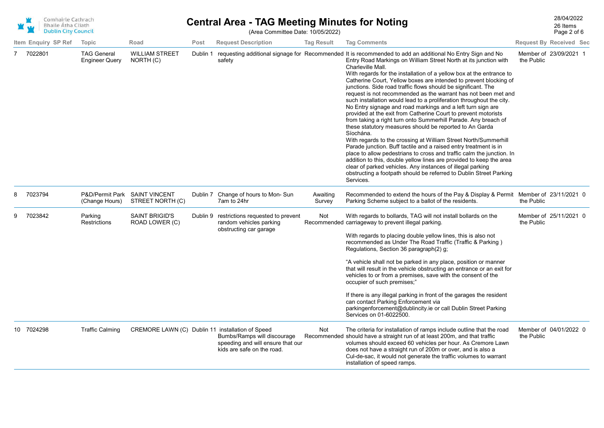|   | Comhairle Cathrach<br><b>Bhaile Átha Cliath</b><br><b>Dublin City Council</b> |                                      |                                                   |          | <b>Central Area - TAG Meeting Minutes for Noting</b><br>(Area Committee Date: 10/05/2022)      |                    |                                                                                                                                                                                                                                                                                                                                                                                                                                                                                                                                                                                                                                                                                                                                                                                                                                                                                                                                                                                                                                                                                                                                                                                                                                                                               |            | 28/04/2022<br>26 Items<br>Page 2 of 6 |
|---|-------------------------------------------------------------------------------|--------------------------------------|---------------------------------------------------|----------|------------------------------------------------------------------------------------------------|--------------------|-------------------------------------------------------------------------------------------------------------------------------------------------------------------------------------------------------------------------------------------------------------------------------------------------------------------------------------------------------------------------------------------------------------------------------------------------------------------------------------------------------------------------------------------------------------------------------------------------------------------------------------------------------------------------------------------------------------------------------------------------------------------------------------------------------------------------------------------------------------------------------------------------------------------------------------------------------------------------------------------------------------------------------------------------------------------------------------------------------------------------------------------------------------------------------------------------------------------------------------------------------------------------------|------------|---------------------------------------|
|   | Item Enquiry SP Ref                                                           | Topic                                | Road                                              | Post     | <b>Request Description</b>                                                                     | <b>Tag Result</b>  | <b>Tag Comments</b>                                                                                                                                                                                                                                                                                                                                                                                                                                                                                                                                                                                                                                                                                                                                                                                                                                                                                                                                                                                                                                                                                                                                                                                                                                                           |            | <b>Request By Received Sec</b>        |
|   | 7 7022801                                                                     | <b>TAG General</b><br>Engineer Query | <b>WILLIAM STREET</b><br>NORTH (C)                | Dublin 1 | safety                                                                                         |                    | requesting additional signage for Recommended It is recommended to add an additional No Entry Sign and No<br>Entry Road Markings on William Street North at its junction with<br>Charleville Mall.<br>With regards for the installation of a yellow box at the entrance to<br>Catherine Court, Yellow boxes are intended to prevent blocking of<br>junctions. Side road traffic flows should be significant. The<br>request is not recommended as the warrant has not been met and<br>such installation would lead to a proliferation throughout the city.<br>No Entry signage and road markings and a left turn sign are<br>provided at the exit from Catherine Court to prevent motorists<br>from taking a right turn onto Summerhill Parade. Any breach of<br>these statutory measures should be reported to An Garda<br>Síochána.<br>With regards to the crossing at William Street North/Summerhill<br>Parade junction. Buff tactile and a raised entry treatment is in<br>place to allow pedestrians to cross and traffic calm the junction. In<br>addition to this, double yellow lines are provided to keep the area<br>clear of parked vehicles. Any instances of illegal parking<br>obstructing a footpath should be referred to Dublin Street Parking<br>Services. | the Public | Member of 23/09/2021 1                |
| 8 | 7023794                                                                       | (Change Hours)                       | P&D/Permit Park SAINT VINCENT<br>STREET NORTH (C) |          | Dublin 7 Change of hours to Mon-Sun<br>7am to 24hr                                             | Awaiting<br>Survey | Recommended to extend the hours of the Pay & Display & Permit Member of 23/11/2021 0<br>Parking Scheme subject to a ballot of the residents.                                                                                                                                                                                                                                                                                                                                                                                                                                                                                                                                                                                                                                                                                                                                                                                                                                                                                                                                                                                                                                                                                                                                  | the Public |                                       |
|   | 7023842                                                                       | Parking<br><b>Restrictions</b>       | <b>SAINT BRIGID'S</b><br>ROAD LOWER (C)           | Dublin 9 | restrictions requested to prevent<br>random vehicles parking<br>obstructing car garage         | Not                | With regards to bollards, TAG will not install bollards on the<br>Recommended carriageway to prevent illegal parking.<br>With regards to placing double yellow lines, this is also not<br>recommended as Under The Road Traffic (Traffic & Parking)<br>Regulations, Section 36 paragraph(2) g;<br>"A vehicle shall not be parked in any place, position or manner<br>that will result in the vehicle obstructing an entrance or an exit for<br>vehicles to or from a premises, save with the consent of the<br>occupier of such premises;"<br>If there is any illegal parking in front of the garages the resident<br>can contact Parking Enforcement via<br>parkingenforcement@dublincity.ie or call Dublin Street Parking<br>Services on 01-6022500.                                                                                                                                                                                                                                                                                                                                                                                                                                                                                                                        | the Public | Member of 25/11/2021 0                |
|   | 10 7024298                                                                    | <b>Traffic Calming</b>               | CREMORE LAWN (C) Dublin 11 installation of Speed  |          | Bumbs/Ramps will discourage<br>speeding and will ensure that our<br>kids are safe on the road. | Not                | The criteria for installation of ramps include outline that the road<br>Recommended should have a straight run of at least 200m, and that traffic<br>volumes should exceed 60 vehicles per hour. As Cremore Lawn<br>does not have a straight run of 200m or over, and is also a<br>Cul-de-sac, it would not generate the traffic volumes to warrant<br>installation of speed ramps.                                                                                                                                                                                                                                                                                                                                                                                                                                                                                                                                                                                                                                                                                                                                                                                                                                                                                           | the Public | Member of 04/01/2022 0                |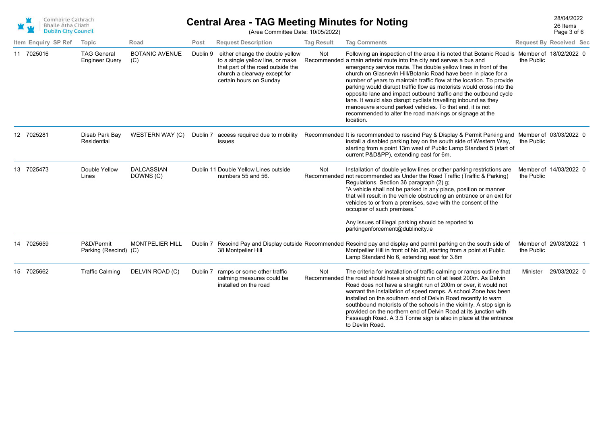

## 28/04/2022 **Central Area - TAG Meeting Minutes for Noting** (Area Committee Date: 10/05/2022)

Page 3 of 6 26 Items

|    | Item Enquiry SP Ref | Topic                                       | Road                           | Post | <b>Request Description</b>                                                                                                                                                   | <b>Tag Result</b> | <b>Tag Comments</b>                                                                                                                                                                                                                                                                                                                                                                                                                                                                                                                                                                                                                                                                                                                   |            | <b>Request By Received Sec</b> |
|----|---------------------|---------------------------------------------|--------------------------------|------|------------------------------------------------------------------------------------------------------------------------------------------------------------------------------|-------------------|---------------------------------------------------------------------------------------------------------------------------------------------------------------------------------------------------------------------------------------------------------------------------------------------------------------------------------------------------------------------------------------------------------------------------------------------------------------------------------------------------------------------------------------------------------------------------------------------------------------------------------------------------------------------------------------------------------------------------------------|------------|--------------------------------|
|    | 11 7025016          | <b>TAG General</b><br><b>Engineer Query</b> | <b>BOTANIC AVENUE</b><br>(C)   |      | Dublin 9 either change the double yellow<br>to a single yellow line, or make<br>that part of the road outside the<br>church a clearway except for<br>certain hours on Sunday | Not               | Following an inspection of the area it is noted that Botanic Road is Member of 18/02/2022 0<br>Recommended a main arterial route into the city and serves a bus and<br>emergency service route. The double yellow lines in front of the<br>church on Glasnevin Hill/Botanic Road have been in place for a<br>number of years to maintain traffic flow at the location. To provide<br>parking would disrupt traffic flow as motorists would cross into the<br>opposite lane and impact outbound traffic and the outbound cycle<br>lane. It would also disrupt cyclists travelling inbound as they<br>manoeuvre around parked vehicles. To that end, it is not<br>recommended to alter the road markings or signage at the<br>location. | the Public |                                |
|    | 12 7025281          | Disab Park Bay<br>Residential               | WESTERN WAY (C)                |      | Dublin 7 access required due to mobility<br>issues                                                                                                                           |                   | Recommended It is recommended to rescind Pay & Display & Permit Parking and Member of 03/03/2022 0<br>install a disabled parking bay on the south side of Western Way,<br>starting from a point 13m west of Public Lamp Standard 5 (start of<br>current P&D&PP), extending east for 6m.                                                                                                                                                                                                                                                                                                                                                                                                                                               | the Public |                                |
|    | 13 7025473          | Double Yellow<br>Lines                      | <b>DALCASSIAN</b><br>DOWNS (C) |      | Dublin 11 Double Yellow Lines outside<br>numbers 55 and 56.                                                                                                                  | Not               | Installation of double yellow lines or other parking restrictions are<br>Recommended not recommended as Under the Road Traffic (Traffic & Parking)<br>Regulations, Section 36 paragraph (2) g;<br>"A vehicle shall not be parked in any place, position or manner<br>that will result in the vehicle obstructing an entrance or an exit for<br>vehicles to or from a premises, save with the consent of the<br>occupier of such premises."                                                                                                                                                                                                                                                                                            | the Public | Member of 14/03/2022 0         |
|    |                     |                                             |                                |      |                                                                                                                                                                              |                   | Any issues of illegal parking should be reported to<br>parkingenforcement@dublincity.ie                                                                                                                                                                                                                                                                                                                                                                                                                                                                                                                                                                                                                                               |            |                                |
| 14 | 7025659             | P&D/Permit<br>Parking (Rescind) (C)         | <b>MONTPELIER HILL</b>         |      | 38 Montpelier Hill                                                                                                                                                           |                   | Dublin 7 Rescind Pay and Display outside Recommended Rescind pay and display and permit parking on the south side of<br>Montpellier Hill in front of No 38, starting from a point at Public<br>Lamp Standard No 6, extending east for 3.8m                                                                                                                                                                                                                                                                                                                                                                                                                                                                                            | the Public | Member of 29/03/2022 1         |
| 15 | 7025662             | <b>Traffic Calming</b>                      | DELVIN ROAD (C)                |      | Dublin 7 ramps or some other traffic<br>calming measures could be<br>installed on the road                                                                                   | Not               | The criteria for installation of traffic calming or ramps outline that<br>Recommended the road should have a straight run of at least 200m. As Delvin<br>Road does not have a straight run of 200m or over, it would not<br>warrant the installation of speed ramps. A school Zone has been<br>installed on the southern end of Delvin Road recently to warn<br>southbound motorists of the schools in the vicinity. A stop sign is<br>provided on the northern end of Delvin Road at its junction with<br>Fassaugh Road. A 3.5 Tonne sign is also in place at the entrance<br>to Devlin Road.                                                                                                                                        | Minister   | 29/03/2022 0                   |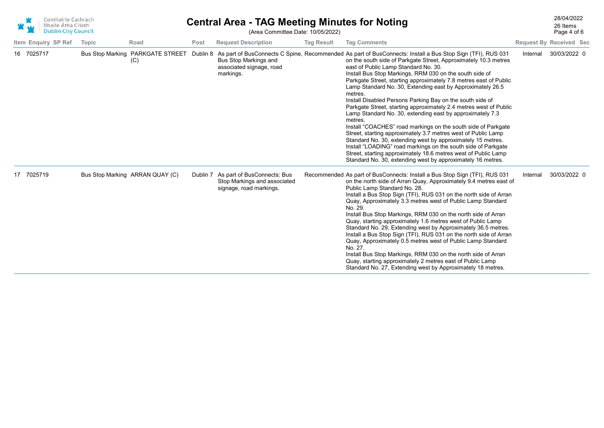| Comhairle Cathrach<br><b>Bhaile Átha Cliath</b><br><b>Dublin City Council</b> |       |                                 | <b>Central Area - TAG Meeting Minutes for Noting</b><br>(Area Committee Date: 10/05/2022) |                                                                                                 |                   |                                                                                                                                                                                                                                                                                                                                                                                                                                                                                                                                                                                                                                                                                                                                                                                                                                                                                                                                                                                                                                                                                       |          | 28/04/2022<br>26 Items<br>Page 4 of 6 |  |
|-------------------------------------------------------------------------------|-------|---------------------------------|-------------------------------------------------------------------------------------------|-------------------------------------------------------------------------------------------------|-------------------|---------------------------------------------------------------------------------------------------------------------------------------------------------------------------------------------------------------------------------------------------------------------------------------------------------------------------------------------------------------------------------------------------------------------------------------------------------------------------------------------------------------------------------------------------------------------------------------------------------------------------------------------------------------------------------------------------------------------------------------------------------------------------------------------------------------------------------------------------------------------------------------------------------------------------------------------------------------------------------------------------------------------------------------------------------------------------------------|----------|---------------------------------------|--|
| Item Enquiry SP Ref                                                           | Topic | Road                            | Post                                                                                      | <b>Request Description</b>                                                                      | <b>Tag Result</b> | <b>Tag Comments</b>                                                                                                                                                                                                                                                                                                                                                                                                                                                                                                                                                                                                                                                                                                                                                                                                                                                                                                                                                                                                                                                                   |          | <b>Request By Received Sec</b>        |  |
| 16 7025717                                                                    |       | (C)                             |                                                                                           | Bus Stop Markings and<br>associated signage, road<br>markings.                                  |                   | Bus Stop Marking PARKGATE STREET Dublin 8 As part of BusConnects C Spine, Recommended As part of BusConnects: Install a Bus Stop Sign (TFI), RUS 031<br>on the south side of Parkgate Street, Approximately 10.3 metres<br>east of Public Lamp Standard No. 30.<br>Install Bus Stop Markings, RRM 030 on the south side of<br>Parkgate Street, starting approximately 7.8 metres east of Public<br>Lamp Standard No. 30, Extending east by Approximately 26.5<br>metres.<br>Install Disabled Persons Parking Bay on the south side of<br>Parkgate Street, starting approximately 2.4 metres west of Public<br>Lamp Standard No. 30, extending east by approximately 7.3<br>metres.<br>Install "COACHES" road markings on the south side of Parkgate<br>Street, starting approximately 3.7 metres west of Public Lamp<br>Standard No. 30, extending west by approximately 15 metres.<br>Install "LOADING" road markings on the south side of Parkgate<br>Street, starting approximately 18.6 metres west of Public Lamp<br>Standard No. 30, extending west by approximately 16 metres. | Internal | 30/03/2022 0                          |  |
| 17 7025719                                                                    |       | Bus Stop Marking ARRAN QUAY (C) |                                                                                           | Dublin 7 As part of BusConnects: Bus<br>Stop Markings and associated<br>signage, road markings. |                   | Recommended As part of BusConnects: Install a Bus Stop Sign (TFI), RUS 031<br>on the north side of Arran Quay, Approximately 9.4 metres east of<br>Public Lamp Standard No. 28.<br>Install a Bus Stop Sign (TFI), RUS 031 on the north side of Arran<br>Quay, Approximately 3.3 metres west of Public Lamp Standard<br>No. 29.<br>Install Bus Stop Markings, RRM 030 on the north side of Arran<br>Quay, starting approximately 1.6 metres west of Public Lamp<br>Standard No. 29, Extending west by Approximately 36.5 metres.<br>Install a Bus Stop Sign (TFI), RUS 031 on the north side of Arran<br>Quay, Approximately 0.5 metres west of Public Lamp Standard<br>No. 27.<br>Install Bus Stop Markings, RRM 030 on the north side of Arran<br>Quay, starting approximately 2 metres east of Public Lamp<br>Standard No. 27, Extending west by Approximately 18 metres.                                                                                                                                                                                                           | Internal | 30/03/2022 0                          |  |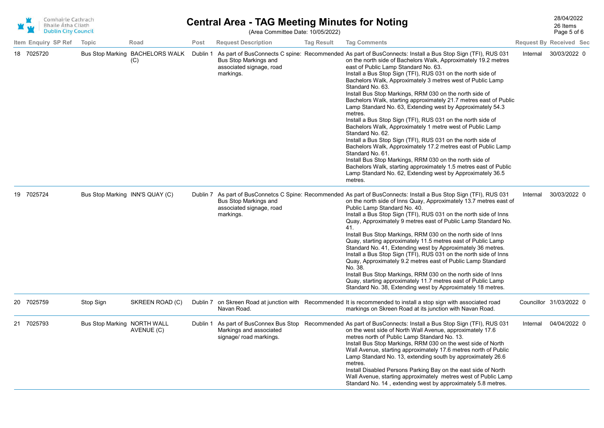|    | Comhairle Cathrach<br><b>Bhaile Átha Cliath</b><br><b>Dublin City Council</b> |                     |                                 |                                        | <b>Central Area - TAG Meeting Minutes for Noting</b> |                                                                | 28/04/2022<br>26 Items<br>Page 5 of 6 |                                                                                                                                                                                                                                                                                                                                                                                                                                                                                                                                                                                                                                                                                                                                                                                                                                                                                                                                                                                                                                                                                            |                                |                         |  |
|----|-------------------------------------------------------------------------------|---------------------|---------------------------------|----------------------------------------|------------------------------------------------------|----------------------------------------------------------------|---------------------------------------|--------------------------------------------------------------------------------------------------------------------------------------------------------------------------------------------------------------------------------------------------------------------------------------------------------------------------------------------------------------------------------------------------------------------------------------------------------------------------------------------------------------------------------------------------------------------------------------------------------------------------------------------------------------------------------------------------------------------------------------------------------------------------------------------------------------------------------------------------------------------------------------------------------------------------------------------------------------------------------------------------------------------------------------------------------------------------------------------|--------------------------------|-------------------------|--|
|    |                                                                               | Item Enquiry SP Ref | Topic                           | Road                                   | Post                                                 | <b>Request Description</b>                                     | <b>Tag Result</b>                     | <b>Tag Comments</b>                                                                                                                                                                                                                                                                                                                                                                                                                                                                                                                                                                                                                                                                                                                                                                                                                                                                                                                                                                                                                                                                        | <b>Request By Received Sec</b> |                         |  |
|    | 18 7025720                                                                    |                     |                                 | Bus Stop Marking BACHELORS WALK<br>(C) | Dublin 1                                             | Bus Stop Markings and<br>associated signage, road<br>markings. |                                       | As part of BusConnects C spine: Recommended As part of BusConnects: Install a Bus Stop Sign (TFI), RUS 031<br>on the north side of Bachelors Walk, Approximately 19.2 metres<br>east of Public Lamp Standard No. 63.<br>Install a Bus Stop Sign (TFI), RUS 031 on the north side of<br>Bachelors Walk, Approximately 3 metres west of Public Lamp<br>Standard No. 63.<br>Install Bus Stop Markings, RRM 030 on the north side of<br>Bachelors Walk, starting approximately 21.7 metres east of Public<br>Lamp Standard No. 63, Extending west by Approximately 54.3<br>metres.<br>Install a Bus Stop Sign (TFI), RUS 031 on the north side of<br>Bachelors Walk, Approximately 1 metre west of Public Lamp<br>Standard No. 62.<br>Install a Bus Stop Sign (TFI), RUS 031 on the north side of<br>Bachelors Walk, Approximately 17.2 metres east of Public Lamp<br>Standard No. 61.<br>Install Bus Stop Markings, RRM 030 on the north side of<br>Bachelors Walk, starting approximately 1.5 metres east of Public<br>Lamp Standard No. 62, Extending west by Approximately 36.5<br>metres. | Internal                       | 30/03/2022 0            |  |
| 19 | 7025724                                                                       |                     | Bus Stop Marking INN'S QUAY (C) |                                        |                                                      | Bus Stop Markings and<br>associated signage, road<br>markings. |                                       | Dublin 7 As part of BusConnetcs C Spine: Recommended As part of BusConnects: Install a Bus Stop Sign (TFI), RUS 031<br>on the north side of Inns Quay, Approximately 13.7 metres east of<br>Public Lamp Standard No. 40.<br>Install a Bus Stop Sign (TFI), RUS 031 on the north side of Inns<br>Quay, Approximately 9 metres east of Public Lamp Standard No.<br>41.<br>Install Bus Stop Markings, RRM 030 on the north side of Inns<br>Quay, starting approximately 11.5 metres east of Public Lamp<br>Standard No. 41, Extending west by Approximately 36 metres.<br>Install a Bus Stop Sign (TFI), RUS 031 on the north side of Inns<br>Quay, Approximately 9.2 metres east of Public Lamp Standard<br>No. 38.<br>Install Bus Stop Markings, RRM 030 on the north side of Inns<br>Quay, starting approximately 11.7 metres east of Public Lamp<br>Standard No. 38, Extending west by Approximately 18 metres.                                                                                                                                                                           | Internal                       | 30/03/2022 0            |  |
|    | 20 7025759                                                                    |                     | Stop Sign                       | SKREEN ROAD (C)                        |                                                      | Navan Road.                                                    |                                       | Dublin 7 on Skreen Road at junction with Recommended It is recommended to install a stop sign with associated road<br>markings on Skreen Road at its junction with Navan Road.                                                                                                                                                                                                                                                                                                                                                                                                                                                                                                                                                                                                                                                                                                                                                                                                                                                                                                             |                                | Councillor 31/03/2022 0 |  |
|    | 21 7025793                                                                    |                     | Bus Stop Marking NORTH WALL     | AVENUE (C)                             |                                                      | Markings and associated<br>signage/ road markings.             |                                       | Dublin 1 As part of BusConnex Bus Stop Recommended As part of BusConnects: Install a Bus Stop Sign (TFI), RUS 031<br>on the west side of North Wall Avenue, approximately 17.6<br>metres north of Public Lamp Standard No. 13.<br>Install Bus Stop Markings, RRM 030 on the west side of North<br>Wall Avenue, starting approximately 17.6 metres north of Public<br>Lamp Standard No. 13, extending south by approximately 26.6<br>metres.<br>Install Disabled Persons Parking Bay on the east side of North<br>Wall Avenue, starting approximately metres west of Public Lamp<br>Standard No. 14, extending west by approximately 5.8 metres.                                                                                                                                                                                                                                                                                                                                                                                                                                            | Internal                       | 04/04/2022 0            |  |